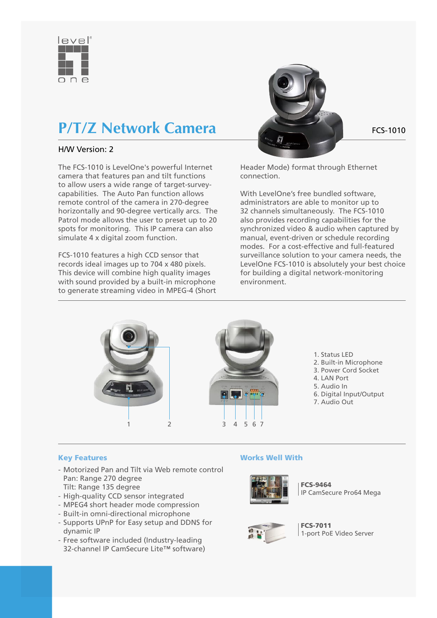

# **P/T/Z Network Camera** FCS-1010

## H/W Version: 2

The FCS-1010 is LevelOne's powerful Internet camera that features pan and tilt functions to allow users a wide range of target-surveycapabilities. The Auto Pan function allows remote control of the camera in 270-degree horizontally and 90-degree vertically arcs. The Patrol mode allows the user to preset up to 20 spots for monitoring. This IP camera can also simulate 4 x digital zoom function.

FCS-1010 features a high CCD sensor that records ideal images up to 704 x 480 pixels. This device will combine high quality images with sound provided by a built-in microphone to generate streaming video in MPEG-4 (Short



Header Mode) format through Ethernet connection.

With LevelOne's free bundled software, administrators are able to monitor up to 32 channels simultaneously. The FCS-1010 also provides recording capabilities for the synchronized video & audio when captured by manual, event-driven or schedule recording modes. For a cost-effective and full-featured surveillance solution to your camera needs, the LevelOne FCS-1010 is absolutely your best choice for building a digital network-monitoring environment.



- 1. Status LED
- 2. Built-in Microphone
- 3. Power Cord Socket
- 4. LAN Port
- 5. Audio In
- 6. Digital Input/Output
- 7. Audio Out

#### Key Features

- Motorized Pan and Tilt via Web remote control Pan: Range 270 degree Tilt: Range 135 degree
- High-quality CCD sensor integrated
- MPEG4 short header mode compression
- Built-in omni-directional microphone
- Supports UPnP for Easy setup and DDNS for dynamic IP
- Free software included (Industry-leading 32-channel IP CamSecure Lite™ software)

### Works Well With



FCS-9464 IP CamSecure Pro64 Mega



FCS-7011 1-port PoE Video Server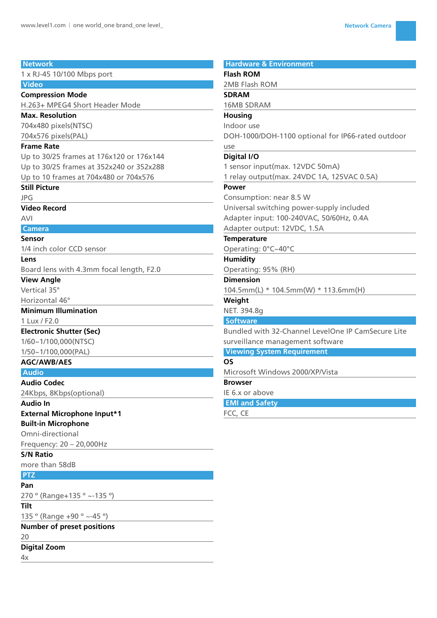| <b>Network</b>                           | <b>Hardware &amp; Environment</b>                  |
|------------------------------------------|----------------------------------------------------|
| 1 x RJ-45 10/100 Mbps port               | <b>Flash ROM</b>                                   |
| <b>Video</b>                             | 2MB Flash ROM                                      |
| <b>Compression Mode</b>                  | <b>SDRAM</b>                                       |
| H.263+ MPEG4 Short Header Mode           | <b>16MB SDRAM</b>                                  |
| <b>Max. Resolution</b>                   | <b>Housing</b>                                     |
| 704x480 pixels(NTSC)                     | Indoor use                                         |
| 704x576 pixels(PAL)                      | DOH-1000/DOH-1100 optional for IP66-rated outdoor  |
| <b>Frame Rate</b>                        | use                                                |
| Up to 30/25 frames at 176x120 or 176x144 | Digital I/O                                        |
| Up to 30/25 frames at 352x240 or 352x288 | 1 sensor input(max. 12VDC 50mA)                    |
| Up to 10 frames at 704x480 or 704x576    | 1 relay output(max. 24VDC 1A, 125VAC 0.5A)         |
| <b>Still Picture</b>                     | Power                                              |
| <b>JPG</b>                               | Consumption: near 8.5 W                            |
| <b>Video Record</b>                      | Universal switching power-supply included          |
| <b>AVI</b>                               | Adapter input: 100-240VAC, 50/60Hz, 0.4A           |
| <b>Camera</b>                            | Adapter output: 12VDC, 1.5A                        |
| Sensor                                   | <b>Temperature</b>                                 |
| 1/4 inch color CCD sensor                | Operating: 0°C~40°C                                |
| Lens                                     | <b>Humidity</b>                                    |
| Board lens with 4.3mm focal length, F2.0 | Operating: 95% (RH)                                |
| <b>View Angle</b>                        | <b>Dimension</b>                                   |
| Vertical 35°                             | 104.5mm(L) * 104.5mm(W) * 113.6mm(H)               |
| Horizontal 46°                           | Weight                                             |
| <b>Minimum Illumination</b>              | NET. 394.8g                                        |
| 1 Lux / F2.0                             | <b>Software</b>                                    |
| <b>Electronic Shutter (Sec)</b>          | Bundled with 32-Channel LevelOne IP CamSecure Lite |
| 1/60~1/100,000(NTSC)                     | surveillance management software                   |
| 1/50~1/100,000(PAL)                      | <b>Viewing System Requirement</b>                  |
| <b>AGC/AWB/AES</b>                       | <b>OS</b>                                          |
| <b>Audio</b>                             | Microsoft Windows 2000/XP/Vista                    |
| <b>Audio Codec</b>                       | <b>Browser</b>                                     |
| 24Kbps, 8Kbps(optional)                  | IE 6.x or above                                    |
| <b>Audio In</b>                          | <b>EMI and Safety</b>                              |
| <b>External Microphone Input*1</b>       | FCC, CE                                            |
| <b>Built-in Microphone</b>               |                                                    |
| Omni-directional                         |                                                    |
| Frequency: 20 - 20,000Hz                 |                                                    |
| <b>S/N Ratio</b>                         |                                                    |
| more than 58dB                           |                                                    |
| <b>PTZ</b>                               |                                                    |
| Pan                                      |                                                    |
| 270 ° (Range+135 ° ~-135 °)              |                                                    |
| Tilt                                     |                                                    |
| 135 ° (Range +90 ° ~-45 °)               |                                                    |
| <b>Number of preset positions</b>        |                                                    |
| 20                                       |                                                    |
| <b>Digital Zoom</b>                      |                                                    |

 $4x$